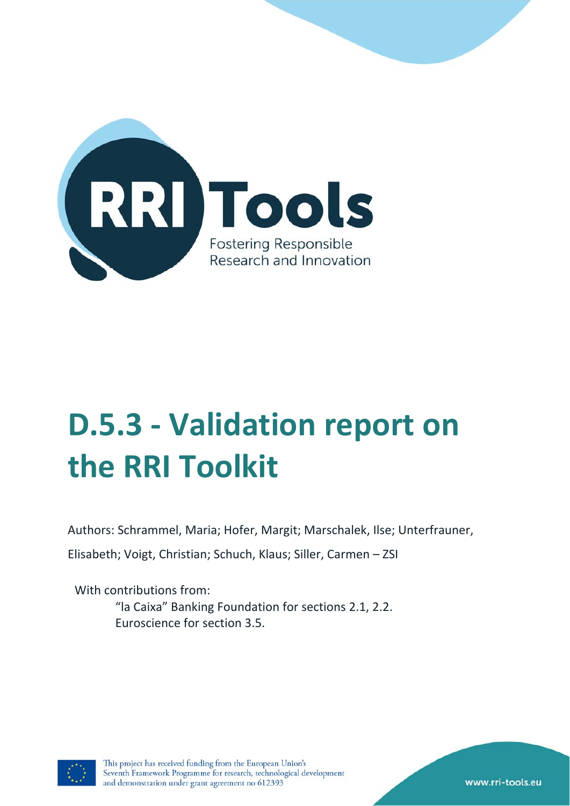

# **D.5.3 ‐ Validation report on the RRI Toolkit**

Authors: Schrammel, Maria; Hofer, Margit; Marschalek, Ilse; Unterfrauner,

Elisabeth; Voigt, Christian; Schuch, Klaus; Siller, Carmen – ZSI

With contributions from: "la Caixa" Banking Foundation for sections 2.1, 2.2. Euroscience for section 3.5.



www.rri-tools.eu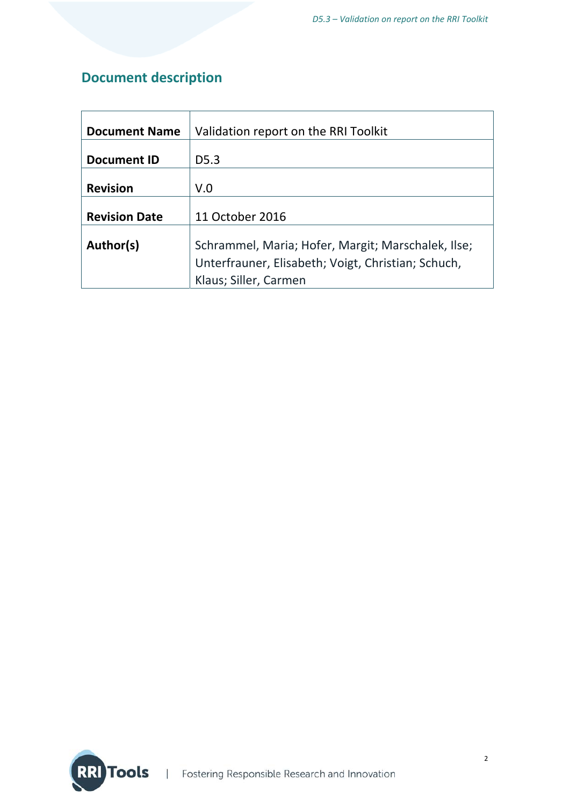# **Document description**

| <b>Document Name</b> | Validation report on the RRI Toolkit               |
|----------------------|----------------------------------------------------|
|                      |                                                    |
| <b>Document ID</b>   | D <sub>5.3</sub>                                   |
|                      |                                                    |
| <b>Revision</b>      | V.0                                                |
|                      |                                                    |
| <b>Revision Date</b> | 11 October 2016                                    |
|                      |                                                    |
| Author(s)            | Schrammel, Maria; Hofer, Margit; Marschalek, Ilse; |
|                      | Unterfrauner, Elisabeth; Voigt, Christian; Schuch, |
|                      | Klaus; Siller, Carmen                              |

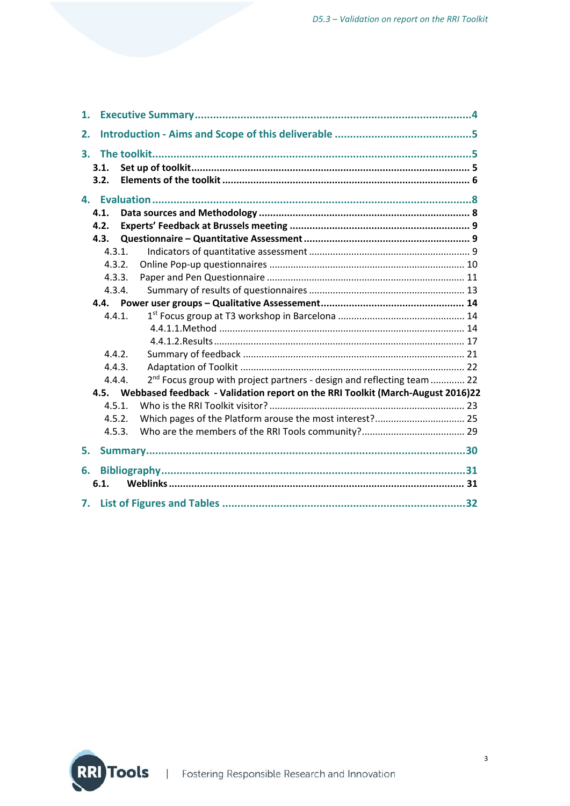| 1. |              |                                                                                     |  |
|----|--------------|-------------------------------------------------------------------------------------|--|
| 2. |              |                                                                                     |  |
|    | 3.1.<br>3.2. |                                                                                     |  |
|    |              |                                                                                     |  |
|    | 4.1.         |                                                                                     |  |
|    | 4.2.         |                                                                                     |  |
|    | 4.3.         |                                                                                     |  |
|    | 4.3.1.       |                                                                                     |  |
|    | 4.3.2.       |                                                                                     |  |
|    | 4.3.3.       |                                                                                     |  |
|    | 4.3.4.       |                                                                                     |  |
|    |              |                                                                                     |  |
|    | 4.4.1.       |                                                                                     |  |
|    |              |                                                                                     |  |
|    |              |                                                                                     |  |
|    | 4.4.2.       |                                                                                     |  |
|    | 4.4.3.       |                                                                                     |  |
|    | 4.4.4.       | 2 <sup>nd</sup> Focus group with project partners - design and reflecting team  22  |  |
|    |              | 4.5. Webbased feedback - Validation report on the RRI Toolkit (March-August 2016)22 |  |
|    | 4.5.1.       |                                                                                     |  |
|    | 4.5.2.       | Which pages of the Platform arouse the most interest? 25                            |  |
|    | 4.5.3.       |                                                                                     |  |
| 5. |              |                                                                                     |  |
| 6. |              |                                                                                     |  |
|    | 6.1.         |                                                                                     |  |
|    |              |                                                                                     |  |

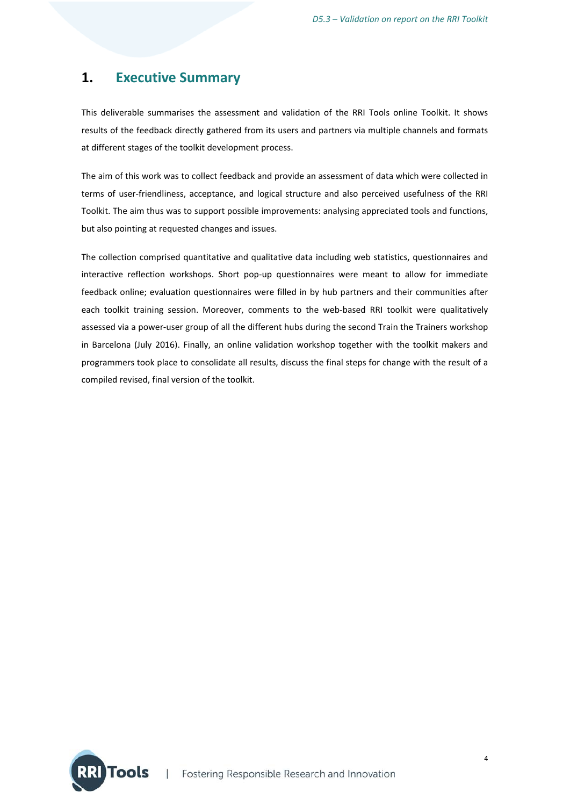## **1. Executive Summary**

This deliverable summarises the assessment and validation of the RRI Tools online Toolkit. It shows results of the feedback directly gathered from its users and partners via multiple channels and formats at different stages of the toolkit development process.

The aim of this work was to collect feedback and provide an assessment of data which were collected in terms of user‐friendliness, acceptance, and logical structure and also perceived usefulness of the RRI Toolkit. The aim thus was to support possible improvements: analysing appreciated tools and functions, but also pointing at requested changes and issues.

The collection comprised quantitative and qualitative data including web statistics, questionnaires and interactive reflection workshops. Short pop‐up questionnaires were meant to allow for immediate feedback online; evaluation questionnaires were filled in by hub partners and their communities after each toolkit training session. Moreover, comments to the web-based RRI toolkit were qualitatively assessed via a power‐user group of all the different hubs during the second Train the Trainers workshop in Barcelona (July 2016). Finally, an online validation workshop together with the toolkit makers and programmers took place to consolidate all results, discuss the final steps for change with the result of a compiled revised, final version of the toolkit.

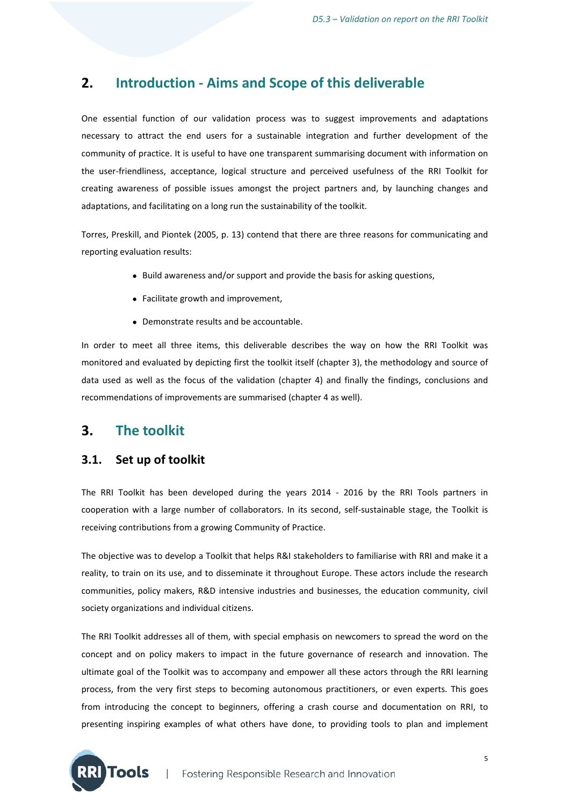## **2. Introduction ‐ Aims and Scope of this deliverable**

One essential function of our validation process was to suggest improvements and adaptations necessary to attract the end users for a sustainable integration and further development of the community of practice. It is useful to have one transparent summarising document with information on the user‐friendliness, acceptance, logical structure and perceived usefulness of the RRI Toolkit for creating awareness of possible issues amongst the project partners and, by launching changes and adaptations, and facilitating on a long run the sustainability of the toolkit.

Torres, Preskill, and Piontek (2005, p. 13) contend that there are three reasons for communicating and reporting evaluation results:

- Build awareness and/or support and provide the basis for asking questions,
- Facilitate growth and improvement,
- Demonstrate results and be accountable.

In order to meet all three items, this deliverable describes the way on how the RRI Toolkit was monitored and evaluated by depicting first the toolkit itself (chapter 3), the methodology and source of data used as well as the focus of the validation (chapter 4) and finally the findings, conclusions and recommendations of improvements are summarised (chapter 4 as well).

## **3. The toolkit**

 $\blacksquare$  Tools

## **3.1. Set up of toolkit**

The RRI Toolkit has been developed during the years 2014 - 2016 by the RRI Tools partners in cooperation with a large number of collaborators. In its second, self‐sustainable stage, the Toolkit is receiving contributions from a growing Community of Practice.

The objective was to develop a Toolkit that helps R&I stakeholders to familiarise with RRI and make it a reality, to train on its use, and to disseminate it throughout Europe. These actors include the research communities, policy makers, R&D intensive industries and businesses, the education community, civil society organizations and individual citizens.

The RRI Toolkit addresses all of them, with special emphasis on newcomers to spread the word on the concept and on policy makers to impact in the future governance of research and innovation. The ultimate goal of the Toolkit was to accompany and empower all these actors through the RRI learning process, from the very first steps to becoming autonomous practitioners, or even experts. This goes from introducing the concept to beginners, offering a crash course and documentation on RRI, to presenting inspiring examples of what others have done, to providing tools to plan and implement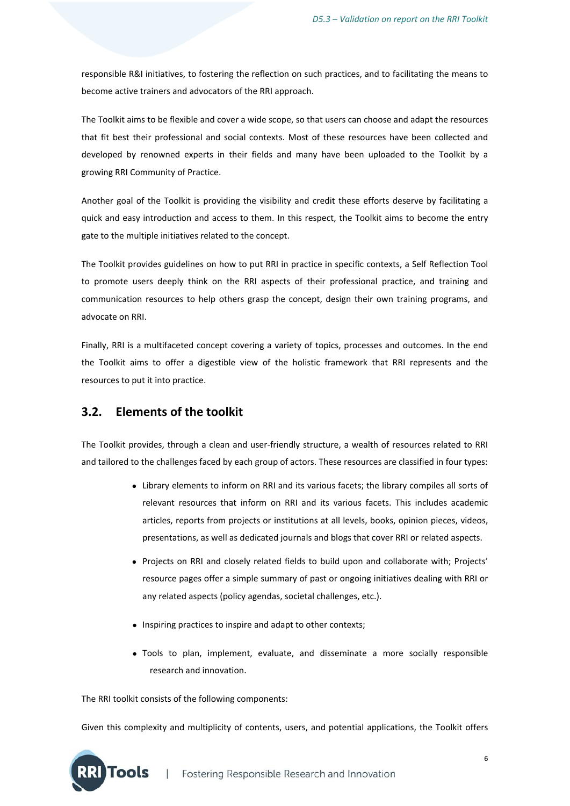responsible R&I initiatives, to fostering the reflection on such practices, and to facilitating the means to become active trainers and advocators of the RRI approach.

The Toolkit aims to be flexible and cover a wide scope, so that users can choose and adapt the resources that fit best their professional and social contexts. Most of these resources have been collected and developed by renowned experts in their fields and many have been uploaded to the Toolkit by a growing RRI Community of Practice.

Another goal of the Toolkit is providing the visibility and credit these efforts deserve by facilitating a quick and easy introduction and access to them. In this respect, the Toolkit aims to become the entry gate to the multiple initiatives related to the concept.

The Toolkit provides guidelines on how to put RRI in practice in specific contexts, a Self Reflection Tool to promote users deeply think on the RRI aspects of their professional practice, and training and communication resources to help others grasp the concept, design their own training programs, and advocate on RRI.

Finally, RRI is a multifaceted concept covering a variety of topics, processes and outcomes. In the end the Toolkit aims to offer a digestible view of the holistic framework that RRI represents and the resources to put it into practice.

## **3.2. Elements of the toolkit**

The Toolkit provides, through a clean and user-friendly structure, a wealth of resources related to RRI and tailored to the challenges faced by each group of actors. These resources are classified in four types:

- Library elements to inform on RRI and its various facets; the library compiles all sorts of relevant resources that inform on RRI and its various facets. This includes academic articles, reports from projects or institutions at all levels, books, opinion pieces, videos, presentations, as well as dedicated journals and blogs that cover RRI or related aspects.
- Projects on RRI and closely related fields to build upon and collaborate with; Projects' resource pages offer a simple summary of past or ongoing initiatives dealing with RRI or any related aspects (policy agendas, societal challenges, etc.).
- Inspiring practices to inspire and adapt to other contexts;
- Tools to plan, implement, evaluate, and disseminate a more socially responsible research and innovation.

The RRI toolkit consists of the following components:

Given this complexity and multiplicity of contents, users, and potential applications, the Toolkit offers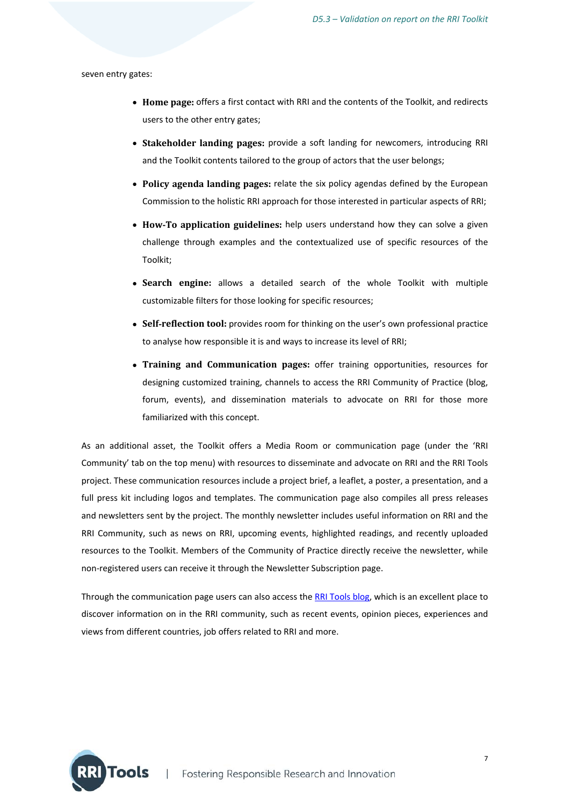seven entry gates:

- **Home page:** offers a first contact with RRI and the contents of the Toolkit, and redirects users to the other entry gates;
- **Stakeholder landing pages:** provide a soft landing for newcomers, introducing RRI and the Toolkit contents tailored to the group of actors that the user belongs;
- **Policy agenda landing pages:** relate the six policy agendas defined by the European Commission to the holistic RRI approach for those interested in particular aspects of RRI;
- **How**‐**To application guidelines:** help users understand how they can solve a given challenge through examples and the contextualized use of specific resources of the Toolkit;
- **Search engine:** allows a detailed search of the whole Toolkit with multiple customizable filters for those looking for specific resources;
- **Self**‐**reflection tool:** provides room for thinking on the user's own professional practice to analyse how responsible it is and ways to increase its level of RRI;
- **Training and Communication pages:** offer training opportunities, resources for designing customized training, channels to access the RRI Community of Practice (blog, forum, events), and dissemination materials to advocate on RRI for those more familiarized with this concept.

As an additional asset, the Toolkit offers a Media Room or communication page (under the 'RRI Community' tab on the top menu) with resources to disseminate and advocate on RRI and the RRI Tools project. These communication resources include a project brief, a leaflet, a poster, a presentation, and a full press kit including logos and templates. The communication page also compiles all press releases and newsletters sent by the project. The monthly newsletter includes useful information on RRI and the RRI Community, such as news on RRI, upcoming events, highlighted readings, and recently uploaded resources to the Toolkit. Members of the Community of Practice directly receive the newsletter, while non‐registered users can receive it through the Newsletter Subscription page.

Through the communication page users can also access the RRI Tools blog, which is an excellent place to discover information on in the RRI community, such as recent events, opinion pieces, experiences and views from different countries, job offers related to RRI and more.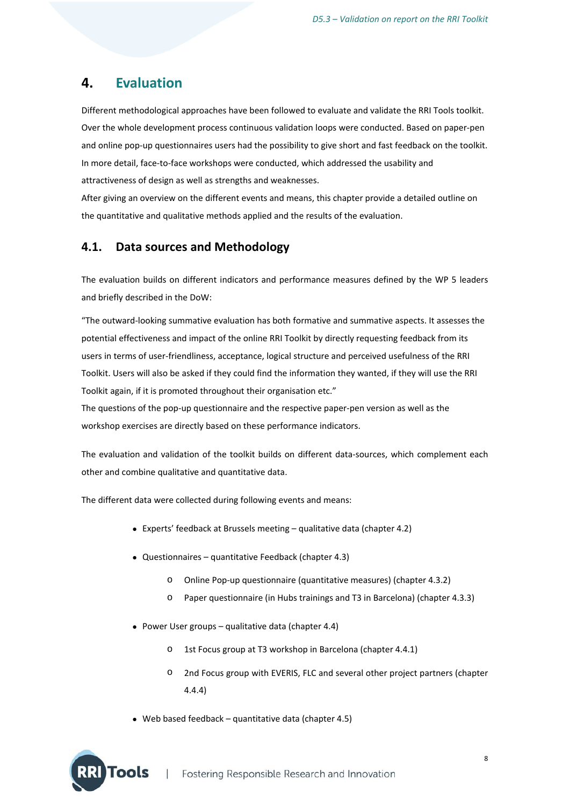## **4. Evaluation**

Different methodological approaches have been followed to evaluate and validate the RRI Tools toolkit. Over the whole development process continuous validation loops were conducted. Based on paper‐pen and online pop-up questionnaires users had the possibility to give short and fast feedback on the toolkit. In more detail, face‐to‐face workshops were conducted, which addressed the usability and attractiveness of design as well as strengths and weaknesses.

After giving an overview on the different events and means, this chapter provide a detailed outline on the quantitative and qualitative methods applied and the results of the evaluation.

## **4.1. Data sources and Methodology**

The evaluation builds on different indicators and performance measures defined by the WP 5 leaders and briefly described in the DoW:

"The outward‐looking summative evaluation has both formative and summative aspects. It assesses the potential effectiveness and impact of the online RRI Toolkit by directly requesting feedback from its users in terms of user‐friendliness, acceptance, logical structure and perceived usefulness of the RRI Toolkit. Users will also be asked if they could find the information they wanted, if they will use the RRI Toolkit again, if it is promoted throughout their organisation etc."

The questions of the pop-up questionnaire and the respective paper-pen version as well as the workshop exercises are directly based on these performance indicators.

The evaluation and validation of the toolkit builds on different data-sources, which complement each other and combine qualitative and quantitative data.

The different data were collected during following events and means:

- Experts' feedback at Brussels meeting qualitative data (chapter 4.2)
- Questionnaires quantitative Feedback (chapter 4.3)
	- o Online Pop‐up questionnaire (quantitative measures) (chapter 4.3.2)
	- o Paper questionnaire (in Hubs trainings and T3 in Barcelona) (chapter 4.3.3)
- Power User groups qualitative data (chapter 4.4)
	- o 1st Focus group at T3 workshop in Barcelona (chapter 4.4.1)
	- o 2nd Focus group with EVERIS, FLC and several other project partners (chapter 4.4.4)
- Web based feedback quantitative data (chapter 4.5)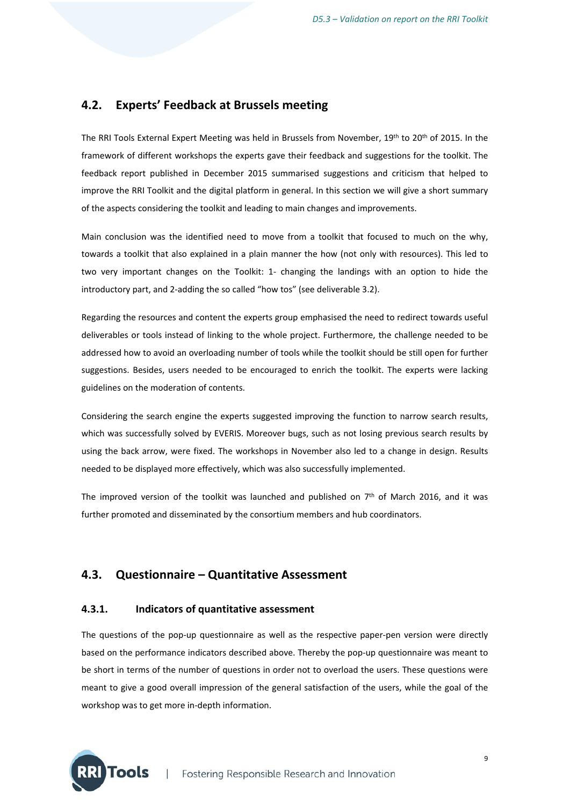## **4.2. Experts' Feedback at Brussels meeting**

The RRI Tools External Expert Meeting was held in Brussels from November, 19<sup>th</sup> to 20<sup>th</sup> of 2015. In the framework of different workshops the experts gave their feedback and suggestions for the toolkit. The feedback report published in December 2015 summarised suggestions and criticism that helped to improve the RRI Toolkit and the digital platform in general. In this section we will give a short summary of the aspects considering the toolkit and leading to main changes and improvements.

Main conclusion was the identified need to move from a toolkit that focused to much on the why, towards a toolkit that also explained in a plain manner the how (not only with resources). This led to two very important changes on the Toolkit: 1‐ changing the landings with an option to hide the introductory part, and 2‐adding the so called "how tos" (see deliverable 3.2).

Regarding the resources and content the experts group emphasised the need to redirect towards useful deliverables or tools instead of linking to the whole project. Furthermore, the challenge needed to be addressed how to avoid an overloading number of tools while the toolkit should be still open for further suggestions. Besides, users needed to be encouraged to enrich the toolkit. The experts were lacking guidelines on the moderation of contents.

Considering the search engine the experts suggested improving the function to narrow search results, which was successfully solved by EVERIS. Moreover bugs, such as not losing previous search results by using the back arrow, were fixed. The workshops in November also led to a change in design. Results needed to be displayed more effectively, which was also successfully implemented.

The improved version of the toolkit was launched and published on  $7<sup>th</sup>$  of March 2016, and it was further promoted and disseminated by the consortium members and hub coordinators.

## **4.3. Questionnaire – Quantitative Assessment**

#### **4.3.1. Indicators of quantitative assessment**

The questions of the pop-up questionnaire as well as the respective paper-pen version were directly based on the performance indicators described above. Thereby the pop-up questionnaire was meant to be short in terms of the number of questions in order not to overload the users. These questions were meant to give a good overall impression of the general satisfaction of the users, while the goal of the workshop was to get more in‐depth information.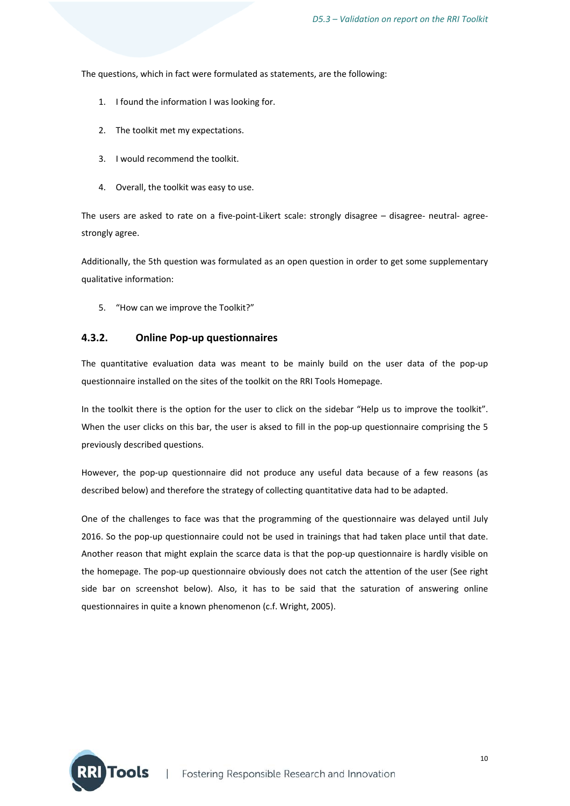The questions, which in fact were formulated as statements, are the following:

- 1. I found the information I was looking for.
- 2. The toolkit met my expectations.
- 3. I would recommend the toolkit.
- 4. Overall, the toolkit was easy to use.

The users are asked to rate on a five-point-Likert scale: strongly disagree – disagree- neutral- agreestrongly agree.

Additionally, the 5th question was formulated as an open question in order to get some supplementary qualitative information:

5. "How can we improve the Toolkit?"

#### **4.3.2. Online Pop‐up questionnaires**

The quantitative evaluation data was meant to be mainly build on the user data of the pop‐up questionnaire installed on the sites of the toolkit on the RRI Tools Homepage.

In the toolkit there is the option for the user to click on the sidebar "Help us to improve the toolkit". When the user clicks on this bar, the user is aksed to fill in the pop-up questionnaire comprising the 5 previously described questions.

However, the pop‐up questionnaire did not produce any useful data because of a few reasons (as described below) and therefore the strategy of collecting quantitative data had to be adapted.

One of the challenges to face was that the programming of the questionnaire was delayed until July 2016. So the pop-up questionnaire could not be used in trainings that had taken place until that date. Another reason that might explain the scarce data is that the pop-up questionnaire is hardly visible on the homepage. The pop‐up questionnaire obviously does not catch the attention of the user (See right side bar on screenshot below). Also, it has to be said that the saturation of answering online questionnaires in quite a known phenomenon (c.f. Wright, 2005).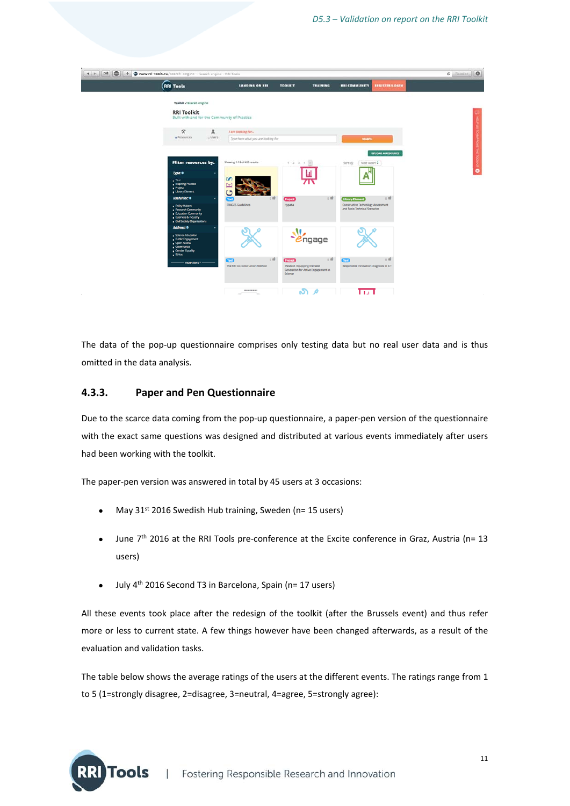

The data of the pop-up questionnaire comprises only testing data but no real user data and is thus omitted in the data analysis.

#### **4.3.3. Paper and Pen Questionnaire**

**Tools** 

Due to the scarce data coming from the pop‐up questionnaire, a paper‐pen version of the questionnaire with the exact same questions was designed and distributed at various events immediately after users had been working with the toolkit.

The paper‐pen version was answered in total by 45 users at 3 occasions:

- May  $31^{st}$  2016 Swedish Hub training, Sweden (n= 15 users)
- June 7<sup>th</sup> 2016 at the RRI Tools pre-conference at the Excite conference in Graz, Austria (n= 13 users)
- $\bullet$  July 4<sup>th</sup> 2016 Second T3 in Barcelona, Spain (n= 17 users)

All these events took place after the redesign of the toolkit (after the Brussels event) and thus refer more or less to current state. A few things however have been changed afterwards, as a result of the evaluation and validation tasks.

The table below shows the average ratings of the users at the different events. The ratings range from 1 to 5 (1=strongly disagree, 2=disagree, 3=neutral, 4=agree, 5=strongly agree):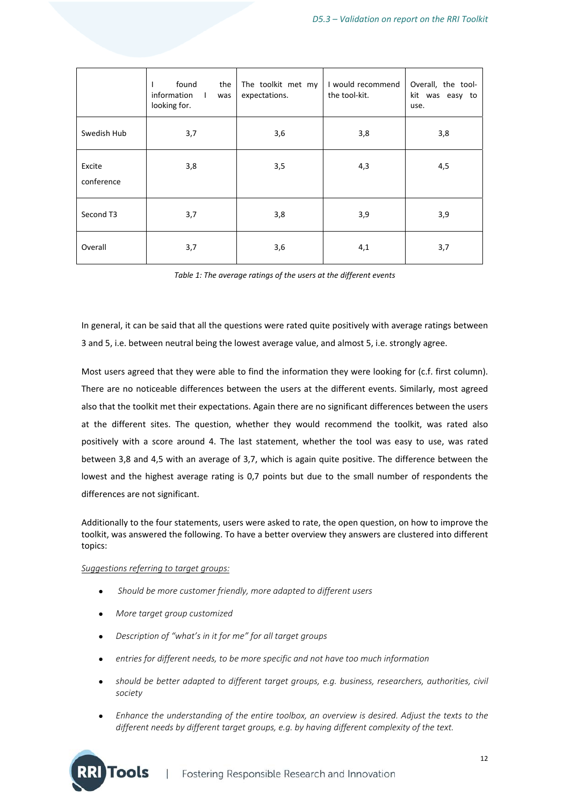|                      | found<br>the<br>information<br>$\mathbf{L}$<br>was<br>looking for. | The toolkit met my<br>expectations. | I would recommend<br>the tool-kit. | Overall, the tool-<br>kit was easy to<br>use. |
|----------------------|--------------------------------------------------------------------|-------------------------------------|------------------------------------|-----------------------------------------------|
| Swedish Hub          | 3,7                                                                | 3,6                                 | 3,8                                | 3,8                                           |
| Excite<br>conference | 3,8                                                                | 3,5                                 | 4,3                                | 4,5                                           |
| Second T3            | 3,7                                                                | 3,8                                 | 3,9                                | 3,9                                           |
| Overall              | 3,7                                                                | 3,6                                 | 4,1                                | 3,7                                           |

*Table 1: The average ratings of the users at the different events*

In general, it can be said that all the questions were rated quite positively with average ratings between 3 and 5, i.e. between neutral being the lowest average value, and almost 5, i.e. strongly agree.

Most users agreed that they were able to find the information they were looking for (c.f. first column). There are no noticeable differences between the users at the different events. Similarly, most agreed also that the toolkit met their expectations. Again there are no significant differences between the users at the different sites. The question, whether they would recommend the toolkit, was rated also positively with a score around 4. The last statement, whether the tool was easy to use, was rated between 3,8 and 4,5 with an average of 3,7, which is again quite positive. The difference between the lowest and the highest average rating is 0,7 points but due to the small number of respondents the differences are not significant.

Additionally to the four statements, users were asked to rate, the open question, on how to improve the toolkit, was answered the following. To have a better overview they answers are clustered into different topics:

#### *Suggestions referring to target groups:*

- *Should be more customer friendly, more adapted to different users*
- *More target group customized*
- *Description of "what's in it for me" for all target groups*
- *entries for different needs, to be more specific and not have too much information*
- *should be better adapted to different target groups, e.g. business, researchers, authorities, civil society*
- *Enhance the understanding of the entire toolbox, an overview is desired. Adjust the texts to the different needs by different target groups, e.g. by having different complexity of the text.*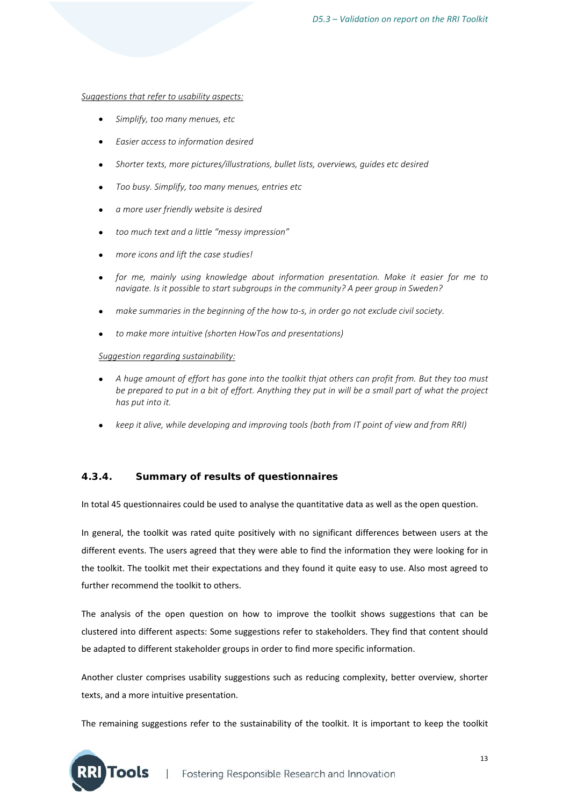#### *Suggestions that refer to usability aspects:*

- *Simplify, too many menues, etc*
- *Easier access to information desired*
- *Shorter texts, more pictures/illustrations, bullet lists, overviews, guides etc desired*
- *Too busy. Simplify, too many menues, entries etc*
- *a more user friendly website is desired*
- *too much text and a little "messy impression"*
- *more icons and lift the case studies!*
- *for me, mainly using knowledge about information presentation. Make it easier for me to navigate. Is it possible to start subgroups in the community? A peer group in Sweden?*
- *make summaries in the beginning of the how to‐s, in order go not exclude civil society.*
- *to make more intuitive (shorten HowTos and presentations)*

#### *Suggestion regarding sustainability:*

Tools

- *A huge amount of effort has gone into the toolkit thjat others can profit from. But they too must be prepared to put in a bit of effort. Anything they put in will be a small part of what the project has put into it.*
- *keep it alive, while developing and improving tools (both from IT point of view and from RRI)*

#### **4.3.4. Summary of results of questionnaires**

In total 45 questionnaires could be used to analyse the quantitative data as well as the open question.

In general, the toolkit was rated quite positively with no significant differences between users at the different events. The users agreed that they were able to find the information they were looking for in the toolkit. The toolkit met their expectations and they found it quite easy to use. Also most agreed to further recommend the toolkit to others.

The analysis of the open question on how to improve the toolkit shows suggestions that can be clustered into different aspects: Some suggestions refer to stakeholders. They find that content should be adapted to different stakeholder groups in order to find more specific information.

Another cluster comprises usability suggestions such as reducing complexity, better overview, shorter texts, and a more intuitive presentation.

The remaining suggestions refer to the sustainability of the toolkit. It is important to keep the toolkit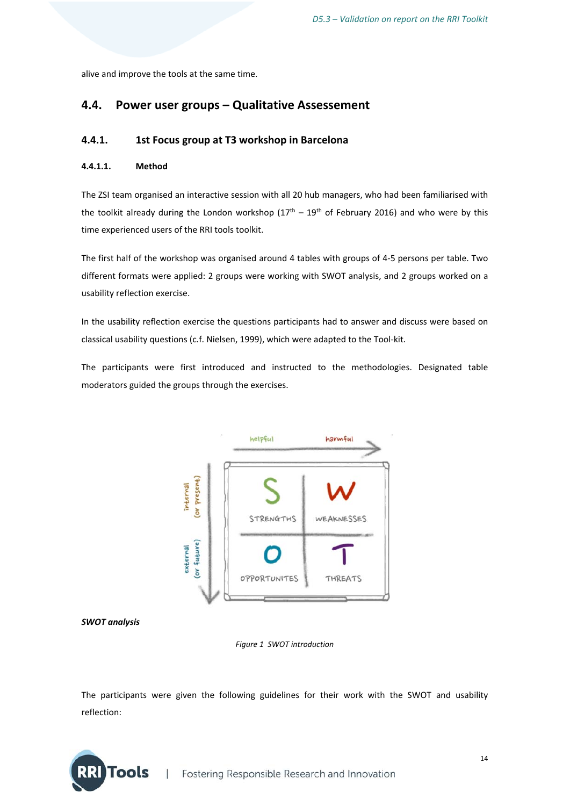alive and improve the tools at the same time.

## **4.4. Power user groups – Qualitative Assessement**

#### **4.4.1. 1st Focus group at T3 workshop in Barcelona**

#### **4.4.1.1. Method**

The ZSI team organised an interactive session with all 20 hub managers, who had been familiarised with the toolkit already during the London workshop  $(17<sup>th</sup> - 19<sup>th</sup>$  of February 2016) and who were by this time experienced users of the RRI tools toolkit.

The first half of the workshop was organised around 4 tables with groups of 4‐5 persons per table. Two different formats were applied: 2 groups were working with SWOT analysis, and 2 groups worked on a usability reflection exercise.

In the usability reflection exercise the questions participants had to answer and discuss were based on classical usability questions (c.f. Nielsen, 1999), which were adapted to the Tool‐kit.

The participants were first introduced and instructed to the methodologies. Designated table moderators guided the groups through the exercises.





*Figure 1 SWOT introduction*

The participants were given the following guidelines for their work with the SWOT and usability reflection:

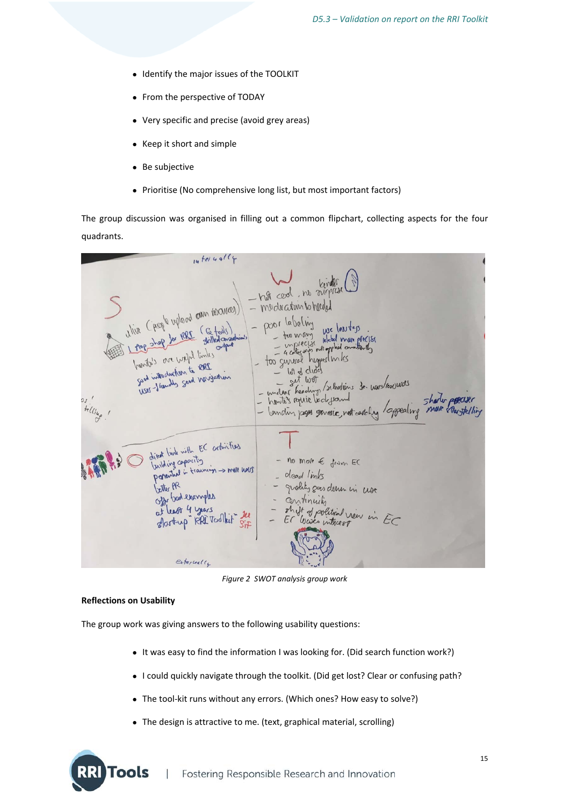- Identify the major issues of the TOOLKIT
- From the perspective of TODAY
- Very specific and precise (avoid grey areas)
- Keep it short and simple
- Be subjective
- Prioritise (No comprehensive long list, but most important factors)

The group discussion was organised in filling out a common flipchart, collecting aspects for the four quadrants.

| $14$ tel 4 ally                                                                                      |                                                                                                                                                                                         |
|------------------------------------------------------------------------------------------------------|-----------------------------------------------------------------------------------------------------------------------------------------------------------------------------------------|
| Ulive (people upload can resource)                                                                   | - hot cool, no disperse<br>- medication to heleded<br>- poor labeling                                                                                                                   |
| embanaged the 1991 of garte gong 1 EEE<br>288 is restribution to ese<br>USer-Standly Soad Wargastian | we less tep<br>- for many use less vers<br>- mplecial lebel mun precise<br>- too guneral hegperlandes<br>$-$ lot of clides<br>set wor<br>- unclear headings /schooliens de wars/expures |
| os intelling !                                                                                       | - how us require bedeflowed<br>- landing pages generic not cooking / appealing more countelling                                                                                         |
| direct link with EC activities<br>building capacity<br>perential in training -> mall harry           | $-$ no more $\epsilon$ from EC<br>- dead links                                                                                                                                          |
| better PR<br>Offer God examples<br>at least 4 years<br>Startup RAI Toolkit Sit                       | gradity gues down in use<br>continuity<br>shift of political view in EC<br>Er Wases interest                                                                                            |
| externally                                                                                           |                                                                                                                                                                                         |

*Figure 2 SWOT analysis group work*

#### **Reflections on Usability**

Tools

The group work was giving answers to the following usability questions:

- It was easy to find the information I was looking for. (Did search function work?)
- I could quickly navigate through the toolkit. (Did get lost? Clear or confusing path?
- The tool-kit runs without any errors. (Which ones? How easy to solve?)
- The design is attractive to me. (text, graphical material, scrolling)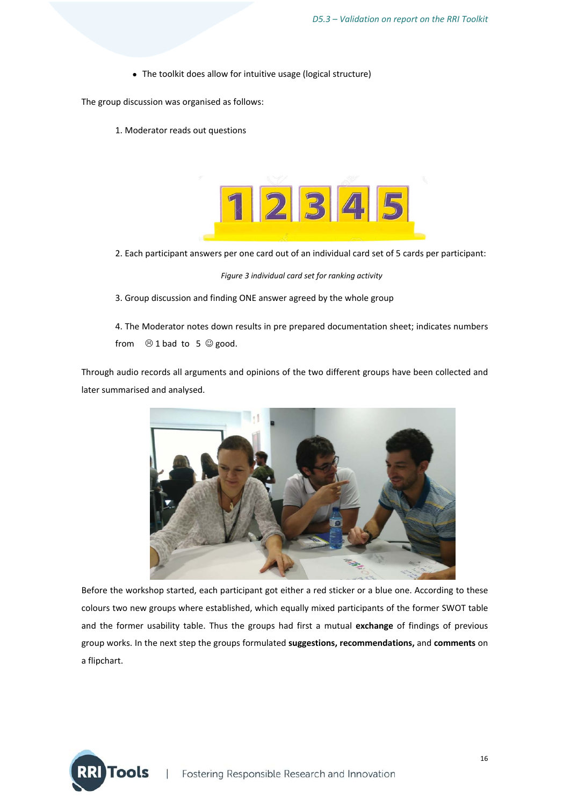The toolkit does allow for intuitive usage (logical structure)

The group discussion was organised as follows:

1. Moderator reads out questions



2. Each participant answers per one card out of an individual card set of 5 cards per participant:

*Figure 3 individual card set for ranking activity*

3. Group discussion and finding ONE answer agreed by the whole group

4. The Moderator notes down results in pre prepared documentation sheet; indicates numbers from  $\odot$  1 bad to 5  $\odot$  good.

Through audio records all arguments and opinions of the two different groups have been collected and later summarised and analysed.



Before the workshop started, each participant got either a red sticker or a blue one. According to these colours two new groups where established, which equally mixed participants of the former SWOT table and the former usability table. Thus the groups had first a mutual **exchange** of findings of previous group works. In the next step the groups formulated **suggestions, recommendations,** and **comments** on a flipchart.

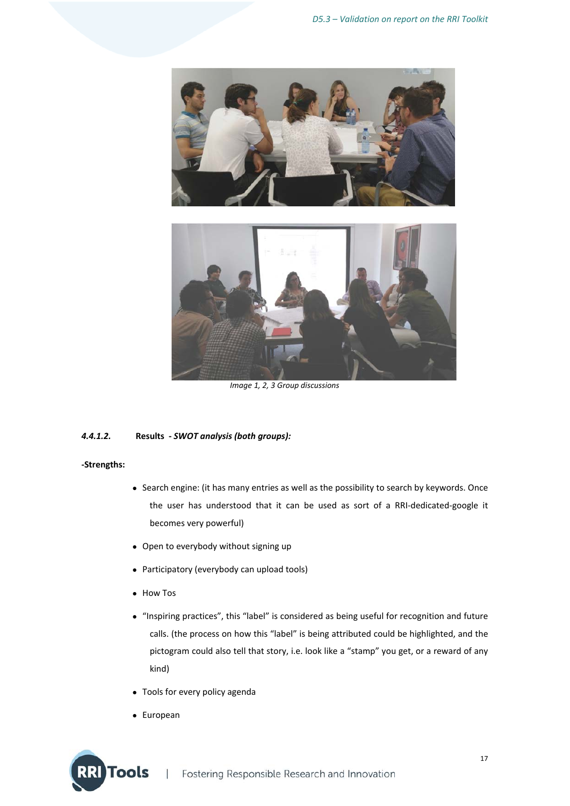



*Image 1, 2, 3 Group discussions*

#### *4.4.1.2.* **Results ‐** *SWOT analysis (both groups):*

#### **‐Strengths:**

- Search engine: (it has many entries as well as the possibility to search by keywords. Once the user has understood that it can be used as sort of a RRI‐dedicated‐google it becomes very powerful)
- Open to everybody without signing up
- Participatory (everybody can upload tools)
- How Tos
- "Inspiring practices", this "label" is considered as being useful for recognition and future calls. (the process on how this "label" is being attributed could be highlighted, and the pictogram could also tell that story, i.e. look like a "stamp" you get, or a reward of any kind)
- Tools for every policy agenda
- European

**Tools**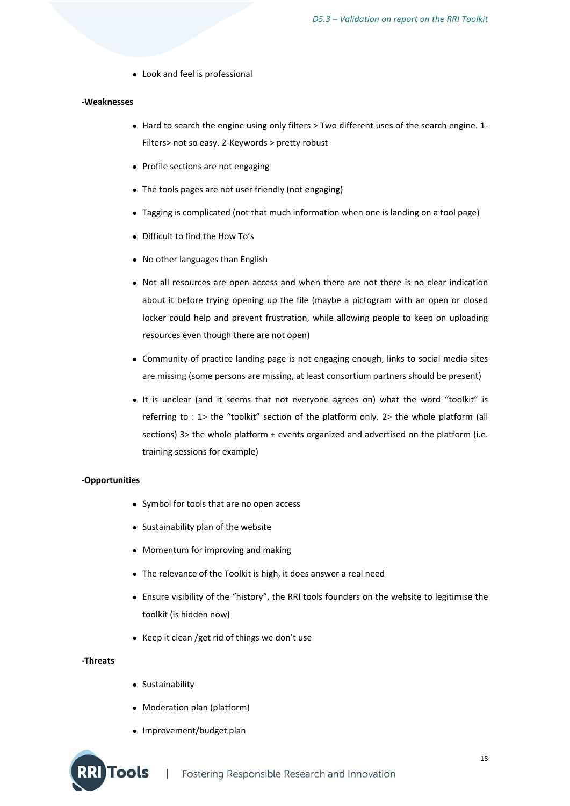Look and feel is professional

#### **‐Weaknesses**

- Hard to search the engine using only filters > Two different uses of the search engine. 1-Filters> not so easy. 2‐Keywords > pretty robust
- Profile sections are not engaging
- The tools pages are not user friendly (not engaging)
- Tagging is complicated (not that much information when one is landing on a tool page)
- Difficult to find the How To's
- No other languages than English
- Not all resources are open access and when there are not there is no clear indication about it before trying opening up the file (maybe a pictogram with an open or closed locker could help and prevent frustration, while allowing people to keep on uploading resources even though there are not open)
- Community of practice landing page is not engaging enough, links to social media sites are missing (some persons are missing, at least consortium partners should be present)
- It is unclear (and it seems that not everyone agrees on) what the word "toolkit" is referring to : 1> the "toolkit" section of the platform only. 2> the whole platform (all sections) 3> the whole platform + events organized and advertised on the platform (i.e. training sessions for example)

#### **‐Opportunities**

- Symbol for tools that are no open access
- Sustainability plan of the website
- Momentum for improving and making
- The relevance of the Toolkit is high, it does answer a real need
- Ensure visibility of the "history", the RRI tools founders on the website to legitimise the toolkit (is hidden now)
- Keep it clean /get rid of things we don't use

#### **‐Threats**

Sustainability

**Tools** 

- Moderation plan (platform)
- Improvement/budget plan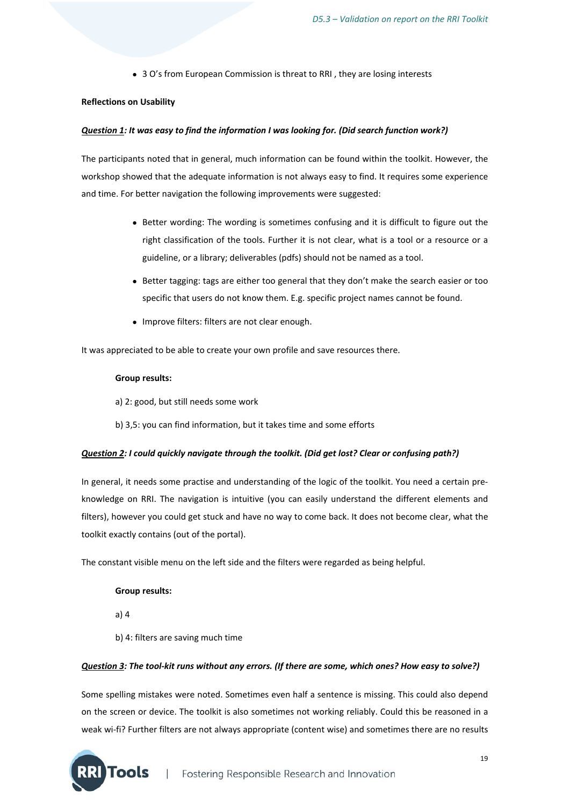• 3 O's from European Commission is threat to RRI, they are losing interests

#### **Reflections on Usability**

#### *Question 1: It was easy to find the information I was looking for. (Did search function work?)*

The participants noted that in general, much information can be found within the toolkit. However, the workshop showed that the adequate information is not always easy to find. It requires some experience and time. For better navigation the following improvements were suggested:

- Better wording: The wording is sometimes confusing and it is difficult to figure out the right classification of the tools. Further it is not clear, what is a tool or a resource or a guideline, or a library; deliverables (pdfs) should not be named as a tool.
- Better tagging: tags are either too general that they don't make the search easier or too specific that users do not know them. E.g. specific project names cannot be found.
- Improve filters: filters are not clear enough.

It was appreciated to be able to create your own profile and save resources there.

#### **Group results:**

- a) 2: good, but still needs some work
- b) 3,5: you can find information, but it takes time and some efforts

#### *Question 2: I could quickly navigate through the toolkit. (Did get lost? Clear or confusing path?)*

In general, it needs some practise and understanding of the logic of the toolkit. You need a certain preknowledge on RRI. The navigation is intuitive (you can easily understand the different elements and filters), however you could get stuck and have no way to come back. It does not become clear, what the toolkit exactly contains (out of the portal).

The constant visible menu on the left side and the filters were regarded as being helpful.

#### **Group results:**

a) 4

b) 4: filters are saving much time

#### Question 3: The tool-kit runs without any errors. (If there are some, which ones? How easy to solve?)

Some spelling mistakes were noted. Sometimes even half a sentence is missing. This could also depend on the screen or device. The toolkit is also sometimes not working reliably. Could this be reasoned in a weak wi-fi? Further filters are not always appropriate (content wise) and sometimes there are no results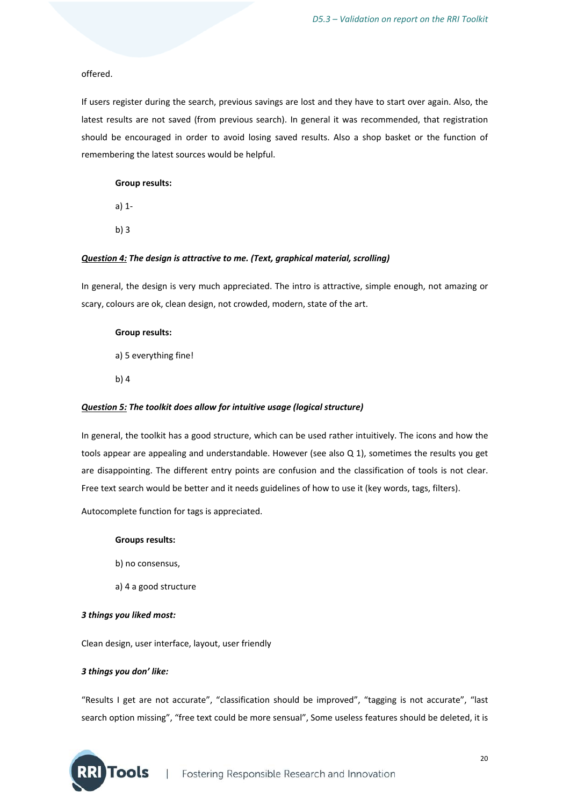#### offered.

If users register during the search, previous savings are lost and they have to start over again. Also, the latest results are not saved (from previous search). In general it was recommended, that registration should be encouraged in order to avoid losing saved results. Also a shop basket or the function of remembering the latest sources would be helpful.

#### **Group results:**

a) 1‐

b) 3

#### *Question 4: The design is attractive to me. (Text, graphical material, scrolling)*

In general, the design is very much appreciated. The intro is attractive, simple enough, not amazing or scary, colours are ok, clean design, not crowded, modern, state of the art.

#### **Group results:**

a) 5 everything fine!

b) 4

#### *Question 5: The toolkit does allow for intuitive usage (logical structure)*

In general, the toolkit has a good structure, which can be used rather intuitively. The icons and how the tools appear are appealing and understandable. However (see also Q 1), sometimes the results you get are disappointing. The different entry points are confusion and the classification of tools is not clear. Free text search would be better and it needs guidelines of how to use it (key words, tags, filters).

Autocomplete function for tags is appreciated.

#### **Groups results:**

- b) no consensus,
- a) 4 a good structure

#### *3 things you liked most:*

Clean design, user interface, layout, user friendly

#### *3 things you don' like:*

**Tools** 

"Results I get are not accurate", "classification should be improved", "tagging is not accurate", "last search option missing", "free text could be more sensual", Some useless features should be deleted, it is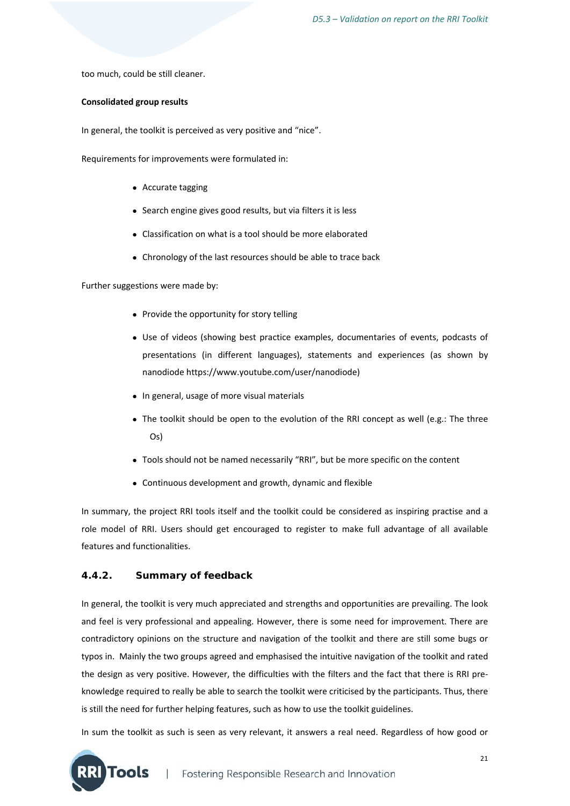too much, could be still cleaner.

#### **Consolidated group results**

In general, the toolkit is perceived as very positive and "nice".

Requirements for improvements were formulated in:

- Accurate tagging
- Search engine gives good results, but via filters it is less
- Classification on what is a tool should be more elaborated
- Chronology of the last resources should be able to trace back

Further suggestions were made by:

- Provide the opportunity for story telling
- Use of videos (showing best practice examples, documentaries of events, podcasts of presentations (in different languages), statements and experiences (as shown by nanodiode https://www.youtube.com/user/nanodiode)
- In general, usage of more visual materials
- The toolkit should be open to the evolution of the RRI concept as well (e.g.: The three Os)
- Tools should not be named necessarily "RRI", but be more specific on the content
- Continuous development and growth, dynamic and flexible

In summary, the project RRI tools itself and the toolkit could be considered as inspiring practise and a role model of RRI. Users should get encouraged to register to make full advantage of all available features and functionalities.

#### **4.4.2. Summary of feedback**

In general, the toolkit is very much appreciated and strengths and opportunities are prevailing. The look and feel is very professional and appealing. However, there is some need for improvement. There are contradictory opinions on the structure and navigation of the toolkit and there are still some bugs or typos in. Mainly the two groups agreed and emphasised the intuitive navigation of the toolkit and rated the design as very positive. However, the difficulties with the filters and the fact that there is RRI preknowledge required to really be able to search the toolkit were criticised by the participants. Thus, there is still the need for further helping features, such as how to use the toolkit guidelines.

In sum the toolkit as such is seen as very relevant, it answers a real need. Regardless of how good or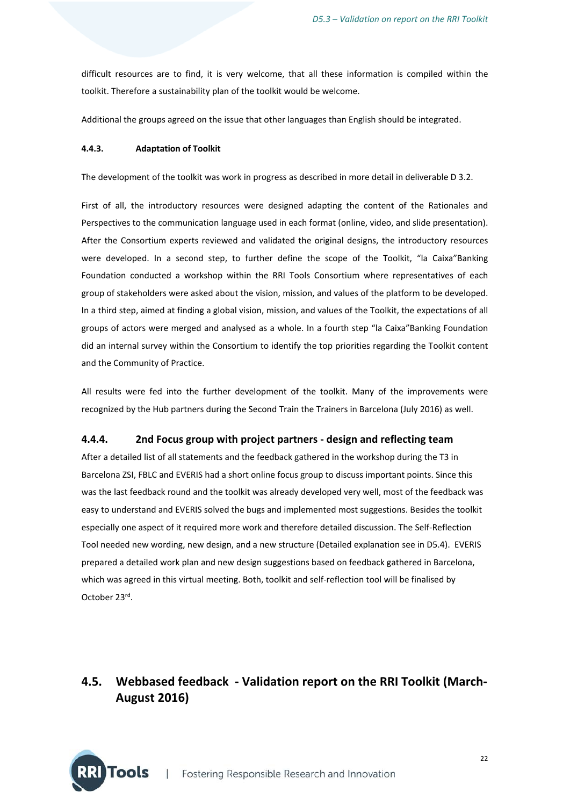difficult resources are to find, it is very welcome, that all these information is compiled within the toolkit. Therefore a sustainability plan of the toolkit would be welcome.

Additional the groups agreed on the issue that other languages than English should be integrated.

#### **4.4.3. Adaptation of Toolkit**

The development of the toolkit was work in progress as described in more detail in deliverable D 3.2.

First of all, the introductory resources were designed adapting the content of the Rationales and Perspectives to the communication language used in each format (online, video, and slide presentation). After the Consortium experts reviewed and validated the original designs, the introductory resources were developed. In a second step, to further define the scope of the Toolkit, "la Caixa"Banking Foundation conducted a workshop within the RRI Tools Consortium where representatives of each group of stakeholders were asked about the vision, mission, and values of the platform to be developed. In a third step, aimed at finding a global vision, mission, and values of the Toolkit, the expectations of all groups of actors were merged and analysed as a whole. In a fourth step "la Caixa"Banking Foundation did an internal survey within the Consortium to identify the top priorities regarding the Toolkit content and the Community of Practice.

All results were fed into the further development of the toolkit. Many of the improvements were recognized by the Hub partners during the Second Train the Trainers in Barcelona (July 2016) as well.

#### **4.4.4. 2nd Focus group with project partners ‐ design and reflecting team**

After a detailed list of all statements and the feedback gathered in the workshop during the T3 in Barcelona ZSI, FBLC and EVERIS had a short online focus group to discuss important points. Since this was the last feedback round and the toolkit was already developed very well, most of the feedback was easy to understand and EVERIS solved the bugs and implemented most suggestions. Besides the toolkit especially one aspect of it required more work and therefore detailed discussion. The Self‐Reflection Tool needed new wording, new design, and a new structure (Detailed explanation see in D5.4). EVERIS prepared a detailed work plan and new design suggestions based on feedback gathered in Barcelona, which was agreed in this virtual meeting. Both, toolkit and self-reflection tool will be finalised by October 23rd.

## **4.5. Webbased feedback ‐ Validation report on the RRI Toolkit (March‐ August 2016)**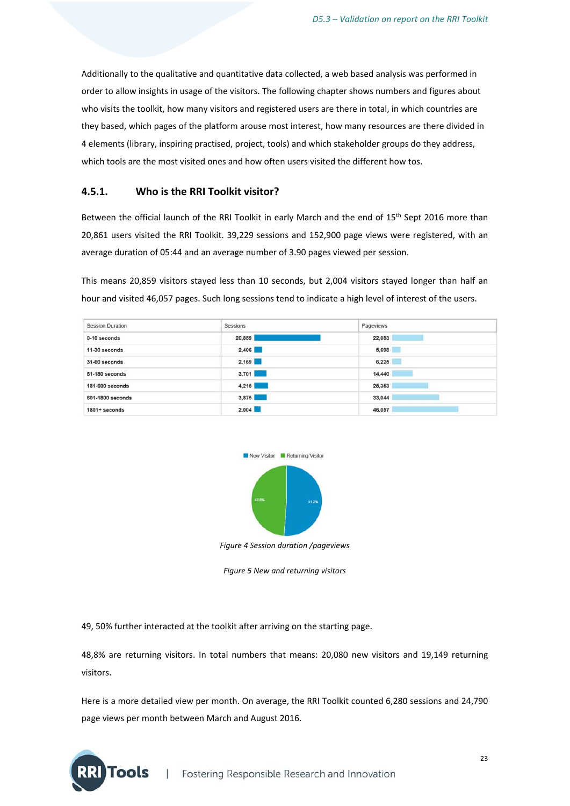Additionally to the qualitative and quantitative data collected, a web based analysis was performed in order to allow insights in usage of the visitors. The following chapter shows numbers and figures about who visits the toolkit, how many visitors and registered users are there in total, in which countries are they based, which pages of the platform arouse most interest, how many resources are there divided in 4 elements (library, inspiring practised, project, tools) and which stakeholder groups do they address, which tools are the most visited ones and how often users visited the different how tos.

#### **4.5.1. Who is the RRI Toolkit visitor?**

Between the official launch of the RRI Toolkit in early March and the end of 15<sup>th</sup> Sept 2016 more than 20,861 users visited the RRI Toolkit. 39,229 sessions and 152,900 page views were registered, with an average duration of 05:44 and an average number of 3.90 pages viewed per session.

This means 20,859 visitors stayed less than 10 seconds, but 2,004 visitors stayed longer than half an hour and visited 46,057 pages. Such long sessions tend to indicate a high level of interest of the users.

| <b>Session Duration</b> | Sessions | Pageviews |
|-------------------------|----------|-----------|
| 0-10 seconds            | 20,859   | 22,083    |
| 11-30 seconds           | 2,406    | 5,698     |
| 31-60 seconds           | 2,169    | 6,225     |
| 61-180 seconds          | 3,701    | 14,440    |
| 181-600 seconds         | 4.215    | 25,353    |
| 601-1800 seconds        | 3,875    | 33,044    |
| 1801+ seconds           | 2,004    | 46,057    |



*Figure 4 Session duration /pageviews*

*Figure 5 New and returning visitors*

49, 50% further interacted at the toolkit after arriving on the starting page.

**Tools** 

48,8% are returning visitors. In total numbers that means: 20,080 new visitors and 19,149 returning visitors.

Here is a more detailed view per month. On average, the RRI Toolkit counted 6,280 sessions and 24,790 page views per month between March and August 2016.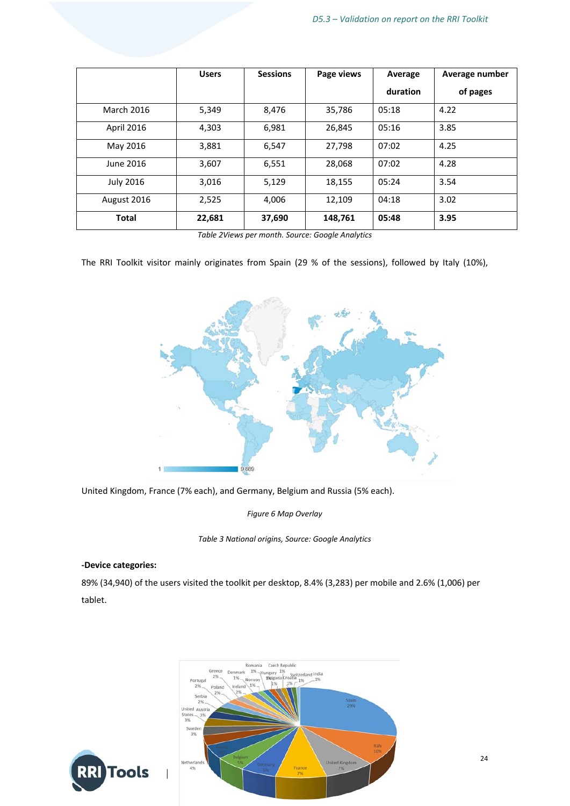|                   | <b>Users</b> | <b>Sessions</b> | Page views | Average  | Average number |
|-------------------|--------------|-----------------|------------|----------|----------------|
|                   |              |                 |            | duration | of pages       |
| <b>March 2016</b> | 5,349        | 8,476           | 35,786     | 05:18    | 4.22           |
| <b>April 2016</b> | 4,303        | 6,981           | 26,845     | 05:16    | 3.85           |
| May 2016          | 3,881        | 6,547           | 27,798     | 07:02    | 4.25           |
| June 2016         | 3,607        | 6,551           | 28,068     | 07:02    | 4.28           |
| <b>July 2016</b>  | 3,016        | 5,129           | 18,155     | 05:24    | 3.54           |
| August 2016       | 2,525        | 4,006           | 12,109     | 04:18    | 3.02           |
| <b>Total</b>      | 22,681       | 37,690          | 148,761    | 05:48    | 3.95           |

*Table 2Views per month. Source: Google Analytics* 

The RRI Toolkit visitor mainly originates from Spain (29 % of the sessions), followed by Italy (10%),



United Kingdom, France (7% each), and Germany, Belgium and Russia (5% each).

*Figure 6 Map Overlay*

*Table 3 National origins, Source: Google Analytics*

#### **‐Device categories:**

89% (34,940) of the users visited the toolkit per desktop, 8.4% (3,283) per mobile and 2.6% (1,006) per tablet.

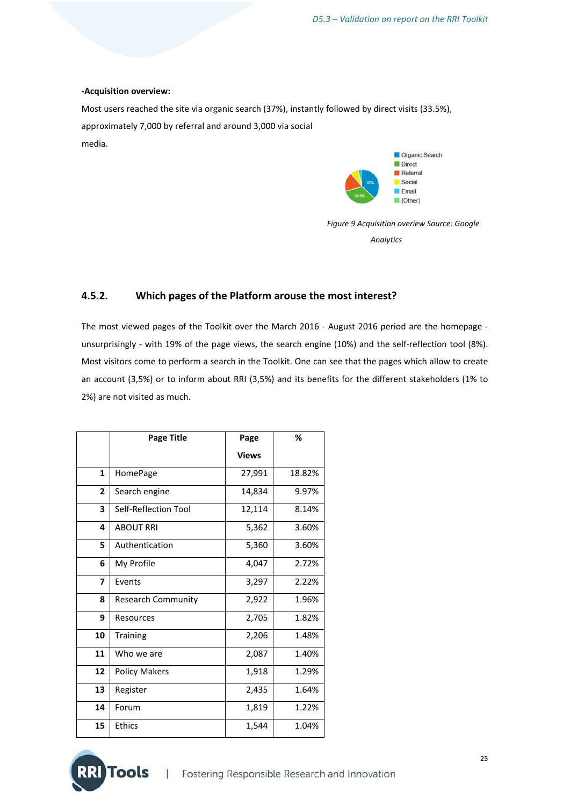#### **‐Acquisition overview:**

Most users reached the site via organic search (37%), instantly followed by direct visits (33.5%), approximately 7,000 by referral and around 3,000 via social media.



*Figure 9 Acquisition overiew Source: Google Analytics*

#### **4.5.2. Which pages of the Platform arouse the most interest?**

The most viewed pages of the Toolkit over the March 2016 - August 2016 period are the homepage unsurprisingly - with 19% of the page views, the search engine (10%) and the self-reflection tool (8%). Most visitors come to perform a search in the Toolkit. One can see that the pages which allow to create an account (3,5%) or to inform about RRI (3,5%) and its benefits for the different stakeholders (1% to 2%) are not visited as much.

|                | <b>Page Title</b>         | Page         | %      |
|----------------|---------------------------|--------------|--------|
|                |                           | <b>Views</b> |        |
| 1              | HomePage                  | 27,991       | 18.82% |
| $\overline{2}$ | Search engine             | 14,834       | 9.97%  |
| 3              | Self-Reflection Tool      | 12,114       | 8.14%  |
| 4              | <b>ABOUT RRI</b>          | 5,362        | 3.60%  |
| 5              | Authentication            | 5,360        | 3.60%  |
| 6              | My Profile                | 4,047        | 2.72%  |
| 7              | Events                    | 3,297        | 2.22%  |
| 8              | <b>Research Community</b> | 2,922        | 1.96%  |
| 9              | Resources                 | 2,705        | 1.82%  |
| 10             | Training                  | 2,206        | 1.48%  |
| 11             | Who we are                | 2,087        | 1.40%  |
| 12             | <b>Policy Makers</b>      | 1,918        | 1.29%  |
| 13             | Register                  | 2,435        | 1.64%  |
| 14             | Forum                     | 1,819        | 1.22%  |
| 15             | <b>Ethics</b>             | 1,544        | 1.04%  |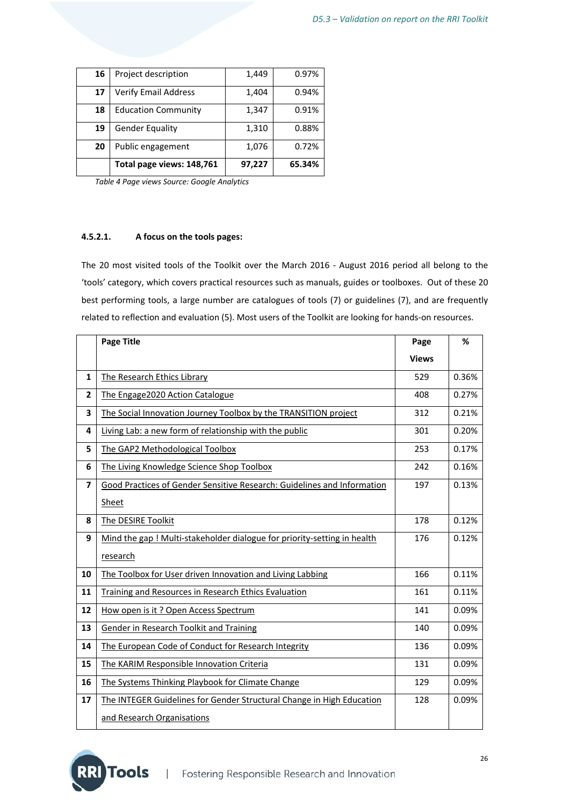| 16 | Project description         | 1,449  | 0.97%  |
|----|-----------------------------|--------|--------|
| 17 | <b>Verify Email Address</b> | 1,404  | 0.94%  |
| 18 | <b>Education Community</b>  | 1,347  | 0.91%  |
| 19 | <b>Gender Equality</b>      | 1,310  | 0.88%  |
| 20 | Public engagement           | 1,076  | 0.72%  |
|    | Total page views: 148,761   | 97,227 | 65.34% |

 *Table 4 Page views Source: Google Analytics*

#### **4.5.2.1. A focus on the tools pages:**

The 20 most visited tools of the Toolkit over the March 2016 - August 2016 period all belong to the 'tools' category, which covers practical resources such as manuals, guides or toolboxes. Out of these 20 best performing tools, a large number are catalogues of tools (7) or guidelines (7), and are frequently related to reflection and evaluation (5). Most users of the Toolkit are looking for hands‐on resources.

|                         | <b>Page Title</b>                                                        | Page         | %     |
|-------------------------|--------------------------------------------------------------------------|--------------|-------|
|                         |                                                                          | <b>Views</b> |       |
| 1                       | The Research Ethics Library                                              | 529          | 0.36% |
| $\overline{2}$          | The Engage2020 Action Catalogue                                          | 408          | 0.27% |
| 3                       | The Social Innovation Journey Toolbox by the TRANSITION project          | 312          | 0.21% |
| 4                       | Living Lab: a new form of relationship with the public                   | 301          | 0.20% |
| 5                       | The GAP2 Methodological Toolbox                                          | 253          | 0.17% |
| 6                       | The Living Knowledge Science Shop Toolbox                                | 242          | 0.16% |
| $\overline{\mathbf{z}}$ | Good Practices of Gender Sensitive Research: Guidelines and Information  | 197          | 0.13% |
|                         | Sheet                                                                    |              |       |
| 8                       | The DESIRE Toolkit                                                       | 178          | 0.12% |
| 9                       | Mind the gap ! Multi-stakeholder dialogue for priority-setting in health | 176          | 0.12% |
|                         | research                                                                 |              |       |
| 10                      | The Toolbox for User driven Innovation and Living Labbing                | 166          | 0.11% |
| 11                      | Training and Resources in Research Ethics Evaluation                     | 161          | 0.11% |
| 12                      | How open is it? Open Access Spectrum                                     | 141          | 0.09% |
| 13                      | <b>Gender in Research Toolkit and Training</b>                           | 140          | 0.09% |
| 14                      | The European Code of Conduct for Research Integrity                      | 136          | 0.09% |
| 15                      | The KARIM Responsible Innovation Criteria                                | 131          | 0.09% |
| 16                      | The Systems Thinking Playbook for Climate Change                         | 129          | 0.09% |
| 17                      | The INTEGER Guidelines for Gender Structural Change in High Education    | 128          | 0.09% |
|                         | and Research Organisations                                               |              |       |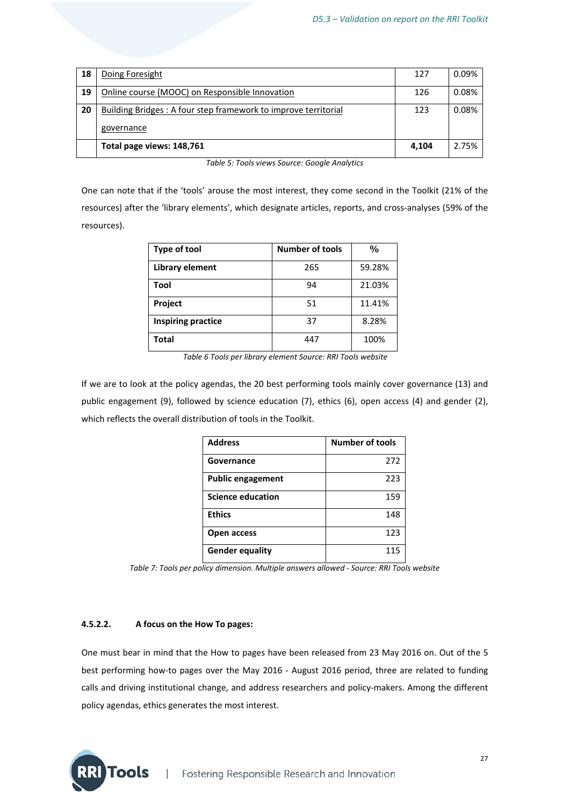| 18 | Doing Foresight                                                | 127   | 0.09% |
|----|----------------------------------------------------------------|-------|-------|
| 19 | Online course (MOOC) on Responsible Innovation                 | 126   | 0.08% |
| 20 | Building Bridges: A four step framework to improve territorial | 123   | 0.08% |
|    | governance                                                     |       |       |
|    | Total page views: 148,761                                      | 4.104 | 2.75% |

One can note that if the 'tools' arouse the most interest, they come second in the Toolkit (21% of the resources) after the 'library elements', which designate articles, reports, and cross-analyses (59% of the resources).

| Type of tool       | <b>Number of tools</b> | $\frac{0}{0}$ |
|--------------------|------------------------|---------------|
| Library element    | 265                    | 59.28%        |
| Tool               | 94                     | 21.03%        |
| Project            | 51                     | 11.41%        |
| Inspiring practice | 37                     | 8.28%         |
| Total              | 447                    | 100%          |

*Table 6 Tools per library element Source: RRI Tools website*

If we are to look at the policy agendas, the 20 best performing tools mainly cover governance (13) and public engagement (9), followed by science education (7), ethics (6), open access (4) and gender (2), which reflects the overall distribution of tools in the Toolkit.

| <b>Address</b>           | <b>Number of tools</b> |
|--------------------------|------------------------|
| Governance               | 272                    |
| <b>Public engagement</b> | 223                    |
| <b>Science education</b> | 159                    |
| <b>Ethics</b>            | 148                    |
| Open access              | 123                    |
| <b>Gender equality</b>   | 115                    |

*Table 7: Tools per policy dimension. Multiple answers allowed ‐ Source: RRI Tools website*

#### **4.5.2.2. A focus on the How To pages:**

One must bear in mind that the How to pages have been released from 23 May 2016 on. Out of the 5 best performing how-to pages over the May 2016 - August 2016 period, three are related to funding calls and driving institutional change, and address researchers and policy-makers. Among the different policy agendas, ethics generates the most interest.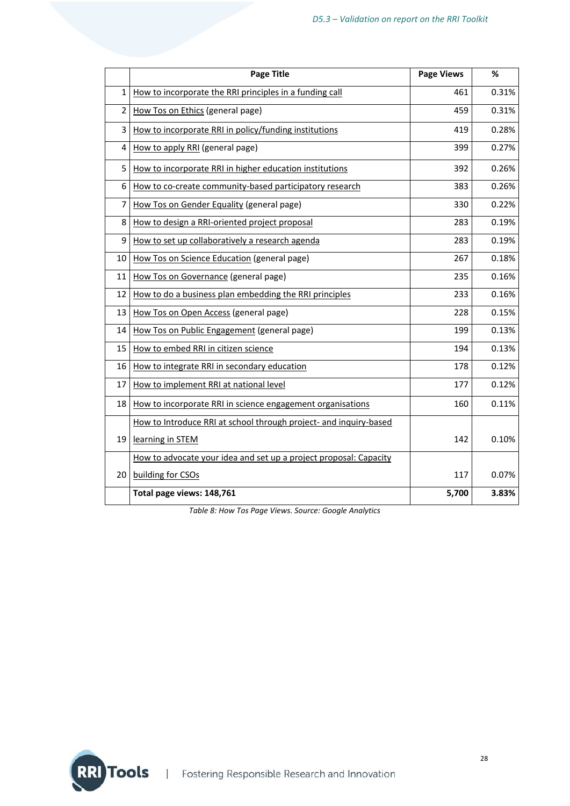|    | <b>Page Title</b>                                                 | <b>Page Views</b> | %     |
|----|-------------------------------------------------------------------|-------------------|-------|
| 1  | How to incorporate the RRI principles in a funding call           | 461               | 0.31% |
| 2  | How Tos on Ethics (general page)                                  | 459               | 0.31% |
| 3  | How to incorporate RRI in policy/funding institutions             | 419               | 0.28% |
| 4  | How to apply RRI (general page)                                   | 399               | 0.27% |
| 5  | How to incorporate RRI in higher education institutions           | 392               | 0.26% |
| 6  | How to co-create community-based participatory research           | 383               | 0.26% |
| 7  | How Tos on Gender Equality (general page)                         | 330               | 0.22% |
| 8  | How to design a RRI-oriented project proposal                     | 283               | 0.19% |
| 9  | How to set up collaboratively a research agenda                   | 283               | 0.19% |
| 10 | How Tos on Science Education (general page)                       | 267               | 0.18% |
| 11 | How Tos on Governance (general page)                              | 235               | 0.16% |
| 12 | How to do a business plan embedding the RRI principles            | 233               | 0.16% |
| 13 | How Tos on Open Access (general page)                             | 228               | 0.15% |
| 14 | How Tos on Public Engagement (general page)                       | 199               | 0.13% |
| 15 | How to embed RRI in citizen science                               | 194               | 0.13% |
| 16 | How to integrate RRI in secondary education                       | 178               | 0.12% |
| 17 | How to implement RRI at national level                            | 177               | 0.12% |
| 18 | How to incorporate RRI in science engagement organisations        | 160               | 0.11% |
|    | How to Introduce RRI at school through project- and inquiry-based |                   |       |
| 19 | learning in STEM                                                  | 142               | 0.10% |
|    | How to advocate your idea and set up a project proposal: Capacity |                   |       |
| 20 | building for CSOs                                                 | 117               | 0.07% |
|    | Total page views: 148,761                                         | 5,700             | 3.83% |

*Table 8: How Tos Page Views. Source: Google Analytics*

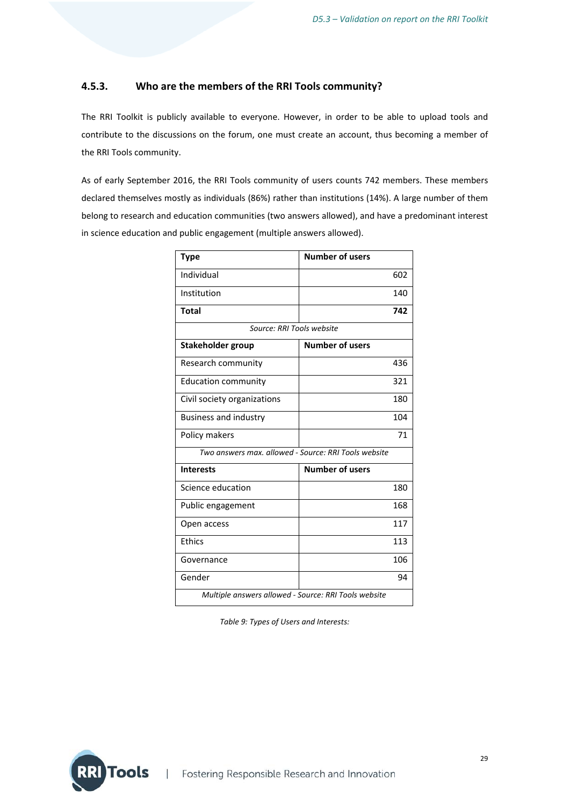#### **4.5.3. Who are the members of the RRI Tools community?**

The RRI Toolkit is publicly available to everyone. However, in order to be able to upload tools and contribute to the discussions on the forum, one must create an account, thus becoming a member of the RRI Tools community.

As of early September 2016, the RRI Tools community of users counts 742 members. These members declared themselves mostly as individuals (86%) rather than institutions (14%). A large number of them belong to research and education communities (two answers allowed), and have a predominant interest in science education and public engagement (multiple answers allowed).

| <b>Type</b>                                          | <b>Number of users</b> |
|------------------------------------------------------|------------------------|
| Individual                                           | 602                    |
| Institution                                          | 140                    |
| <b>Total</b>                                         | 742                    |
| Source: RRI Tools website                            |                        |
| Stakeholder group                                    | <b>Number of users</b> |
| Research community                                   | 436                    |
| <b>Education community</b>                           | 321                    |
| Civil society organizations                          | 180                    |
| <b>Business and industry</b>                         | 104                    |
| Policy makers                                        | 71                     |
| Two answers max. allowed - Source: RRI Tools website |                        |
| <b>Interests</b>                                     | <b>Number of users</b> |
| Science education                                    | 180                    |
| Public engagement                                    | 168                    |
| Open access                                          | 117                    |
| Ethics                                               | 113                    |
| Governance                                           | 106                    |
| Gender                                               | 94                     |
| Multiple answers allowed - Source: RRI Tools website |                        |

*Table 9: Types of Users and Interests:*

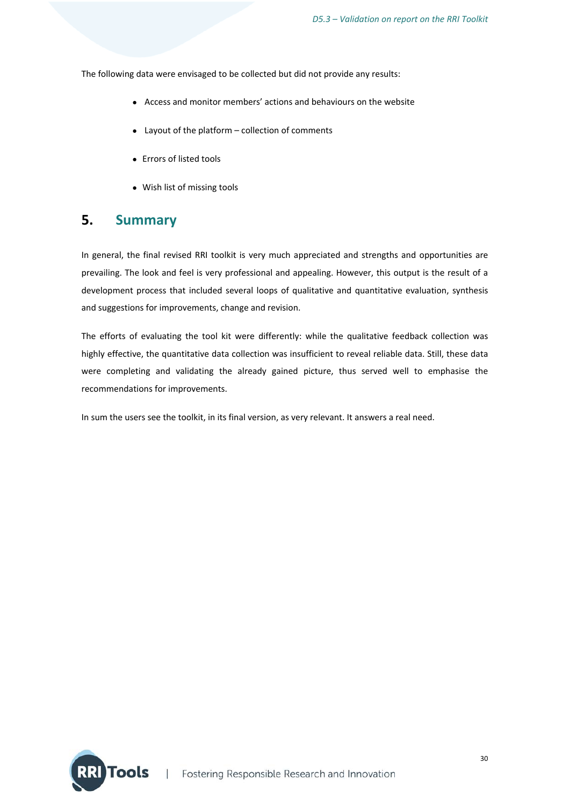The following data were envisaged to be collected but did not provide any results:

- Access and monitor members' actions and behaviours on the website
- Layout of the platform collection of comments
- Errors of listed tools
- Wish list of missing tools

## **5. Summary**

In general, the final revised RRI toolkit is very much appreciated and strengths and opportunities are prevailing. The look and feel is very professional and appealing. However, this output is the result of a development process that included several loops of qualitative and quantitative evaluation, synthesis and suggestions for improvements, change and revision.

The efforts of evaluating the tool kit were differently: while the qualitative feedback collection was highly effective, the quantitative data collection was insufficient to reveal reliable data. Still, these data were completing and validating the already gained picture, thus served well to emphasise the recommendations for improvements.

In sum the users see the toolkit, in its final version, as very relevant. It answers a real need.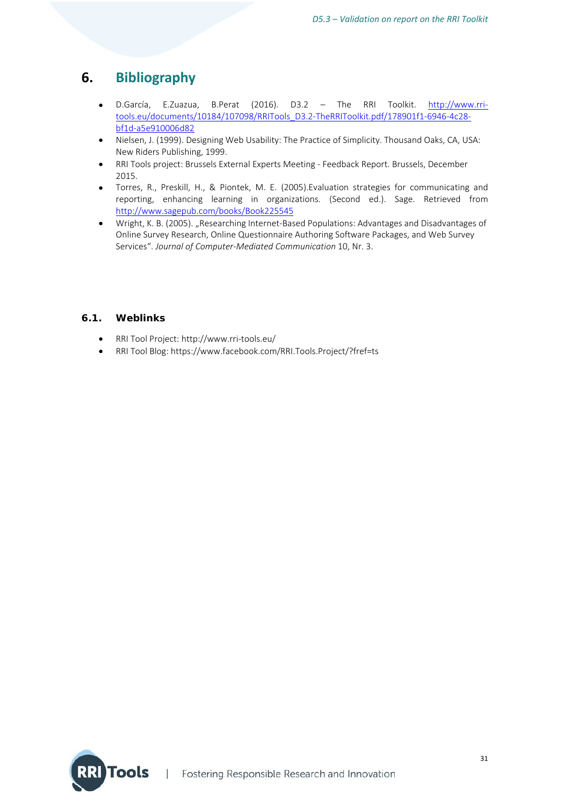## **6. Bibliography**

- D.García, E.Zuazua, B.Perat (2016). D3.2 The RRI Toolkit. http://www.rritools.eu/documents/10184/107098/RRITools\_D3.2‐TheRRIToolkit.pdf/178901f1‐6946‐4c28‐ bf1d‐a5e910006d82
- Nielsen, J. (1999). Designing Web Usability: The Practice of Simplicity. Thousand Oaks, CA, USA: New Riders Publishing, 1999.
- RRI Tools project: Brussels External Experts Meeting ‐ Feedback Report. Brussels, December 2015.
- Torres, R., Preskill, H., & Piontek, M. E. (2005).Evaluation strategies for communicating and reporting, enhancing learning in organizations. (Second ed.). Sage. Retrieved from http://www.sagepub.com/books/Book225545
- Wright, K. B. (2005). "Researching Internet-Based Populations: Advantages and Disadvantages of Online Survey Research, Online Questionnaire Authoring Software Packages, and Web Survey Services". *Journal of Computer‐Mediated Communication* 10, Nr. 3.

#### **6.1. Weblinks**

- RRI Tool Project: http://www.rri‐tools.eu/
- RRI Tool Blog: https://www.facebook.com/RRI.Tools.Project/?fref=ts